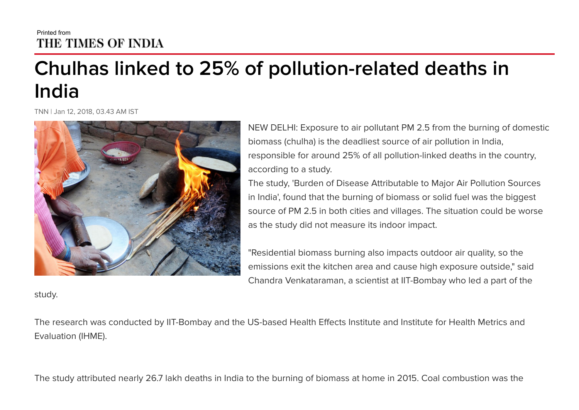## Printed from THE TIMES OF INDIA

## Chulhas linked to 25% of pollution-related deaths in India

TNN | Jan 12, 2018, 03.43 AM IST



NEW DELHI: Exposure to air pollutant PM 2.5 from the burning of domestic biomass (chulha) is the deadliest source of air pollution in India, responsible for around 25% of all pollution-linked deaths in the country, according to a study.

The study, 'Burden of Disease Attributable to Major Air Pollution Sources in India', found that the burning of biomass or solid fuel was the biggest source of PM 2.5 in both cities and villages. The situation could be worse as the study did not measure its indoor impact.

"Residential biomass burning also impacts outdoor air quality, so the emissions exit the kitchen area and cause high exposure outside," said Chandra Venkataraman, a scientist at IIT-Bombay who led a part of the

study.

The research was conducted by IIT-Bombay and the US-based Health Effects Institute and Institute for Health Metrics and Evaluation (IHME).

The study attributed nearly 26.7 lakh deaths in India to the burning of biomass at home in 2015. Coal combustion was the